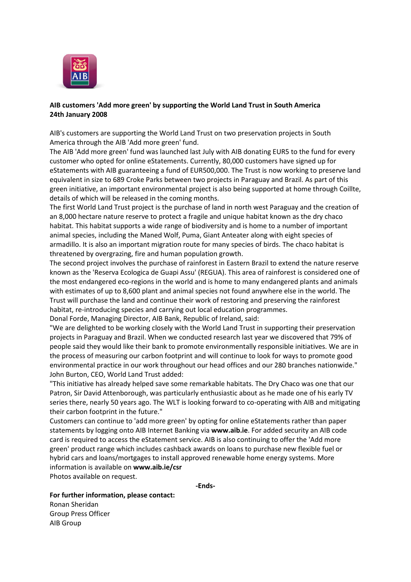

## **AIB customers 'Add more green' by supporting the World Land Trust in South America 24th January 2008**

AIB's customers are supporting the World Land Trust on two preservation projects in South America through the AIB 'Add more green' fund.

The AIB 'Add more green' fund was launched last July with AIB donating EUR5 to the fund for every customer who opted for online eStatements. Currently, 80,000 customers have signed up for eStatements with AIB guaranteeing a fund of EUR500,000. The Trust is now working to preserve land equivalent in size to 689 Croke Parks between two projects in Paraguay and Brazil. As part of this green initiative, an important environmental project is also being supported at home through Coillte, details of which will be released in the coming months.

The first World Land Trust project is the purchase of land in north west Paraguay and the creation of an 8,000 hectare nature reserve to protect a fragile and unique habitat known as the dry chaco habitat. This habitat supports a wide range of biodiversity and is home to a number of important animal species, including the Maned Wolf, Puma, Giant Anteater along with eight species of armadillo. It is also an important migration route for many species of birds. The chaco habitat is threatened by overgrazing, fire and human population growth.

The second project involves the purchase of rainforest in Eastern Brazil to extend the nature reserve known as the 'Reserva Ecologica de Guapi Assu' (REGUA). This area of rainforest is considered one of the most endangered eco-regions in the world and is home to many endangered plants and animals with estimates of up to 8,600 plant and animal species not found anywhere else in the world. The Trust will purchase the land and continue their work of restoring and preserving the rainforest habitat, re-introducing species and carrying out local education programmes.

Donal Forde, Managing Director, AIB Bank, Republic of Ireland, said:

"We are delighted to be working closely with the World Land Trust in supporting their preservation projects in Paraguay and Brazil. When we conducted research last year we discovered that 79% of people said they would like their bank to promote environmentally responsible initiatives. We are in the process of measuring our carbon footprint and will continue to look for ways to promote good environmental practice in our work throughout our head offices and our 280 branches nationwide." John Burton, CEO, World Land Trust added:

"This initiative has already helped save some remarkable habitats. The Dry Chaco was one that our Patron, Sir David Attenborough, was particularly enthusiastic about as he made one of his early TV series there, nearly 50 years ago. The WLT is looking forward to co-operating with AIB and mitigating their carbon footprint in the future."

Customers can continue to 'add more green' by opting for online eStatements rather than paper statements by logging onto AIB Internet Banking via **[www.aib.ie](http://www.aib.ie/)**. For added security an AIB code card is required to access the eStatement service. AIB is also continuing to offer the 'Add more green' product range which includes cashback awards on loans to purchase new flexible fuel or hybrid cars and loans/mortgages to install approved renewable home energy systems. More information is available on **[www.aib.ie/csr](http://www.aib.ie/csr)** Photos available on request.

**-Ends-**

**For further information, please contact:** Ronan Sheridan

Group Press Officer AIB Group